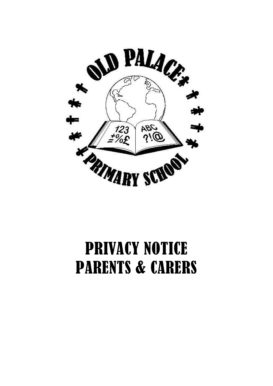

# PRIVACY NOTICE PARENTS & CARERS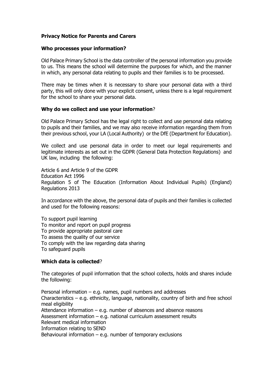## **Privacy Notice for Parents and Carers**

#### **Who processes your information?**

Old Palace Primary School is the data controller of the personal information you provide to us. This means the school will determine the purposes for which, and the manner in which, any personal data relating to pupils and their families is to be processed.

There may be times when it is necessary to share your personal data with a third party, this will only done with your explicit consent, unless there is a legal requirement for the school to share your personal data.

#### **Why do we collect and use your information**?

Old Palace Primary School has the legal right to collect and use personal data relating to pupils and their families, and we may also receive information regarding them from their previous school, your LA (Local Authority) or the DfE (Department for Education).

We collect and use personal data in order to meet our legal requirements and legitimate interests as set out in the GDPR (General Data Protection Regulations) and UK law, including the following:

Article 6 and Article 9 of the GDPR Education Act 1996 Regulation 5 of The Education (Information About Individual Pupils) (England) Regulations 2013

In accordance with the above, the personal data of pupils and their families is collected and used for the following reasons:

To support pupil learning To monitor and report on pupil progress To provide appropriate pastoral care To assess the quality of our service To comply with the law regarding data sharing To safeguard pupils

#### **Which data is collected**?

The categories of pupil information that the school collects, holds and shares include the following:

Personal information  $-$  e.g. names, pupil numbers and addresses Characteristics – e.g. ethnicity, language, nationality, country of birth and free school meal eligibility Attendance information  $-$  e.g. number of absences and absence reasons Assessment information – e.g. national curriculum assessment results Relevant medical information Information relating to SEND Behavioural information  $-$  e.g. number of temporary exclusions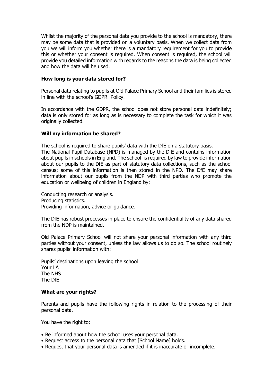Whilst the majority of the personal data you provide to the school is mandatory, there may be some data that is provided on a voluntary basis. When we collect data from you we will inform you whether there is a mandatory requirement for you to provide this or whether your consent is required. When consent is required, the school will provide you detailed information with regards to the reasons the data is being collected and how the data will be used.

#### **How long is your data stored for?**

Personal data relating to pupils at Old Palace Primary School and their families is stored in line with the school's GDPR Policy.

In accordance with the GDPR, the school does not store personal data indefinitely; data is only stored for as long as is necessary to complete the task for which it was originally collected.

### **Will my information be shared?**

The school is required to share pupils' data with the DfE on a statutory basis. The National Pupil Database (NPD) is managed by the DfE and contains information about pupils in schools in England. The school is required by law to provide information about our pupils to the DfE as part of statutory data collections, such as the school census; some of this information is then stored in the NPD. The DfE may share information about our pupils from the NDP with third parties who promote the education or wellbeing of children in England by:

Conducting research or analysis. Producing statistics. Providing information, advice or guidance.

The DfE has robust processes in place to ensure the confidentiality of any data shared from the NDP is maintained.

Old Palace Primary School will not share your personal information with any third parties without your consent, unless the law allows us to do so. The school routinely shares pupils' information with:

Pupils' destinations upon leaving the school Your LA The NHS The DfE

#### **What are your rights?**

Parents and pupils have the following rights in relation to the processing of their personal data.

You have the right to:

- Be informed about how the school uses your personal data.
- Request access to the personal data that [School Name] holds.
- Request that your personal data is amended if it is inaccurate or incomplete.